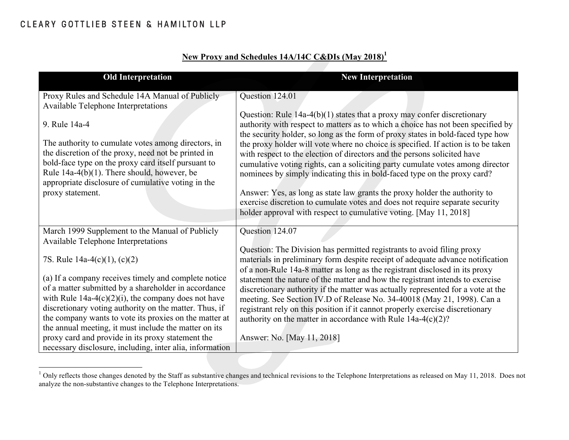| <b>Old Interpretation</b>                                                                                                                                                                                                                                                                                                                                    | <b>New Interpretation</b>                                                                                                                                                                                                                                                                                                                                                                                                                                                                                                                                                                                                                                                                                                                                                                                          |
|--------------------------------------------------------------------------------------------------------------------------------------------------------------------------------------------------------------------------------------------------------------------------------------------------------------------------------------------------------------|--------------------------------------------------------------------------------------------------------------------------------------------------------------------------------------------------------------------------------------------------------------------------------------------------------------------------------------------------------------------------------------------------------------------------------------------------------------------------------------------------------------------------------------------------------------------------------------------------------------------------------------------------------------------------------------------------------------------------------------------------------------------------------------------------------------------|
| Proxy Rules and Schedule 14A Manual of Publicly                                                                                                                                                                                                                                                                                                              | Question 124.01                                                                                                                                                                                                                                                                                                                                                                                                                                                                                                                                                                                                                                                                                                                                                                                                    |
| <b>Available Telephone Interpretations</b><br>9. Rule 14a-4<br>The authority to cumulate votes among directors, in<br>the discretion of the proxy, need not be printed in<br>bold-face type on the proxy card itself pursuant to<br>Rule $14a-4(b)(1)$ . There should, however, be<br>appropriate disclosure of cumulative voting in the<br>proxy statement. | Question: Rule $14a-4(b)(1)$ states that a proxy may confer discretionary<br>authority with respect to matters as to which a choice has not been specified by<br>the security holder, so long as the form of proxy states in bold-faced type how<br>the proxy holder will vote where no choice is specified. If action is to be taken<br>with respect to the election of directors and the persons solicited have<br>cumulative voting rights, can a soliciting party cumulate votes among director<br>nominees by simply indicating this in bold-faced type on the proxy card?<br>Answer: Yes, as long as state law grants the proxy holder the authority to<br>exercise discretion to cumulate votes and does not require separate security<br>holder approval with respect to cumulative voting. [May 11, 2018] |
| March 1999 Supplement to the Manual of Publicly                                                                                                                                                                                                                                                                                                              | Question 124.07                                                                                                                                                                                                                                                                                                                                                                                                                                                                                                                                                                                                                                                                                                                                                                                                    |
| Available Telephone Interpretations                                                                                                                                                                                                                                                                                                                          |                                                                                                                                                                                                                                                                                                                                                                                                                                                                                                                                                                                                                                                                                                                                                                                                                    |
| 7S. Rule 14a-4(c)(1), (c)(2)                                                                                                                                                                                                                                                                                                                                 | Question: The Division has permitted registrants to avoid filing proxy<br>materials in preliminary form despite receipt of adequate advance notification<br>of a non-Rule 14a-8 matter as long as the registrant disclosed in its proxy                                                                                                                                                                                                                                                                                                                                                                                                                                                                                                                                                                            |
| (a) If a company receives timely and complete notice                                                                                                                                                                                                                                                                                                         | statement the nature of the matter and how the registrant intends to exercise                                                                                                                                                                                                                                                                                                                                                                                                                                                                                                                                                                                                                                                                                                                                      |
| of a matter submitted by a shareholder in accordance<br>with Rule $14a-4(c)(2)(i)$ , the company does not have                                                                                                                                                                                                                                               | discretionary authority if the matter was actually represented for a vote at the<br>meeting. See Section IV.D of Release No. 34-40018 (May 21, 1998). Can a                                                                                                                                                                                                                                                                                                                                                                                                                                                                                                                                                                                                                                                        |
| discretionary voting authority on the matter. Thus, if                                                                                                                                                                                                                                                                                                       | registrant rely on this position if it cannot properly exercise discretionary                                                                                                                                                                                                                                                                                                                                                                                                                                                                                                                                                                                                                                                                                                                                      |
| the company wants to vote its proxies on the matter at                                                                                                                                                                                                                                                                                                       | authority on the matter in accordance with Rule $14a-4(c)(2)?$                                                                                                                                                                                                                                                                                                                                                                                                                                                                                                                                                                                                                                                                                                                                                     |
| the annual meeting, it must include the matter on its<br>proxy card and provide in its proxy statement the                                                                                                                                                                                                                                                   |                                                                                                                                                                                                                                                                                                                                                                                                                                                                                                                                                                                                                                                                                                                                                                                                                    |
| necessary disclosure, including, inter alia, information                                                                                                                                                                                                                                                                                                     | Answer: No. [May 11, 2018]                                                                                                                                                                                                                                                                                                                                                                                                                                                                                                                                                                                                                                                                                                                                                                                         |

# **New Proxy and Schedules 14A/14C C&DIs (May 2018)<sup>1</sup>**

 $1$  Only reflects those changes denoted by the Staff as substantive changes and technical revisions to the Telephone Interpretations as released on May 11, 2018. Does not analyze the non-substantive changes to the Telephone Interpretations.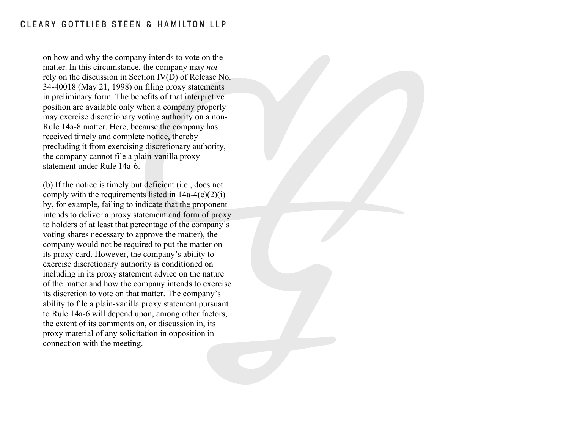on how and why the company intends to vote on the matter. In this circumstance, the company may *not* rely on the discussion in Section IV(D) of Release No. 34-40018 (May 21, 1998) on filing proxy statements in preliminary form. The benefits of that interpretive position are available only when a company properly may exercise discretionary voting authority on a non-Rule 14a-8 matter. Here, because the company has received timely and complete notice, thereby precluding it from exercising discretionary authority, the company cannot file a plain-vanilla proxy statement under Rule 14a-6.

(b) If the notice is timely but deficient (i.e., does not comply with the requirements listed in  $14a-4(c)(2)(i)$ by, for example, failing to indicate that the proponent intends to deliver a proxy statement and form of proxy to holders of at least that percentage of the company's voting shares necessary to approve the matter), the company would not be required to put the matter on its proxy card. However, the company's ability to exercise discretionary authority is conditioned on including in its proxy statement advice on the nature of the matter and how the company intends to exercise its discretion to vote on that matter. The company's ability to file a plain-vanilla proxy statement pursuant to Rule 14a-6 will depend upon, among other factors, the extent of its comments on, or discussion in, its proxy material of any solicitation in opposition in connection with the meeting.

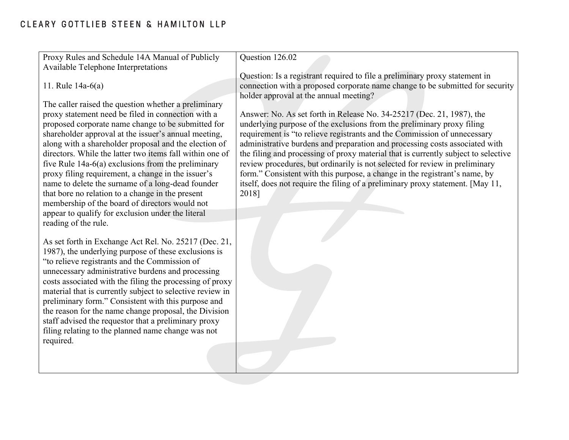| Proxy Rules and Schedule 14A Manual of Publicly                                                                       | Question 126.02                                                                    |
|-----------------------------------------------------------------------------------------------------------------------|------------------------------------------------------------------------------------|
| Available Telephone Interpretations                                                                                   |                                                                                    |
|                                                                                                                       | Question: Is a registrant required to file a preliminary proxy statement in        |
| 11. Rule $14a-6(a)$                                                                                                   | connection with a proposed corporate name change to be submitted for security      |
|                                                                                                                       | holder approval at the annual meeting?                                             |
| The caller raised the question whether a preliminary                                                                  |                                                                                    |
| proxy statement need be filed in connection with a                                                                    | Answer: No. As set forth in Release No. 34-25217 (Dec. 21, 1987), the              |
| proposed corporate name change to be submitted for                                                                    | underlying purpose of the exclusions from the preliminary proxy filing             |
| shareholder approval at the issuer's annual meeting,                                                                  | requirement is "to relieve registrants and the Commission of unnecessary           |
| along with a shareholder proposal and the election of                                                                 | administrative burdens and preparation and processing costs associated with        |
| directors. While the latter two items fall within one of                                                              | the filing and processing of proxy material that is currently subject to selective |
| five Rule $14a-6(a)$ exclusions from the preliminary                                                                  | review procedures, but ordinarily is not selected for review in preliminary        |
| proxy filing requirement, a change in the issuer's                                                                    | form." Consistent with this purpose, a change in the registrant's name, by         |
| name to delete the surname of a long-dead founder                                                                     | itself, does not require the filing of a preliminary proxy statement. [May 11,     |
| that bore no relation to a change in the present                                                                      | 2018]                                                                              |
| membership of the board of directors would not                                                                        |                                                                                    |
| appear to qualify for exclusion under the literal                                                                     |                                                                                    |
| reading of the rule.                                                                                                  |                                                                                    |
|                                                                                                                       |                                                                                    |
| As set forth in Exchange Act Rel. No. 25217 (Dec. 21,                                                                 |                                                                                    |
| 1987), the underlying purpose of these exclusions is                                                                  |                                                                                    |
| "to relieve registrants and the Commission of                                                                         |                                                                                    |
| unnecessary administrative burdens and processing                                                                     |                                                                                    |
| costs associated with the filing the processing of proxy<br>material that is currently subject to selective review in |                                                                                    |
| preliminary form." Consistent with this purpose and                                                                   |                                                                                    |
| the reason for the name change proposal, the Division                                                                 |                                                                                    |
| staff advised the requestor that a preliminary proxy                                                                  |                                                                                    |
| filing relating to the planned name change was not                                                                    |                                                                                    |
| required.                                                                                                             |                                                                                    |
|                                                                                                                       |                                                                                    |
|                                                                                                                       |                                                                                    |
|                                                                                                                       |                                                                                    |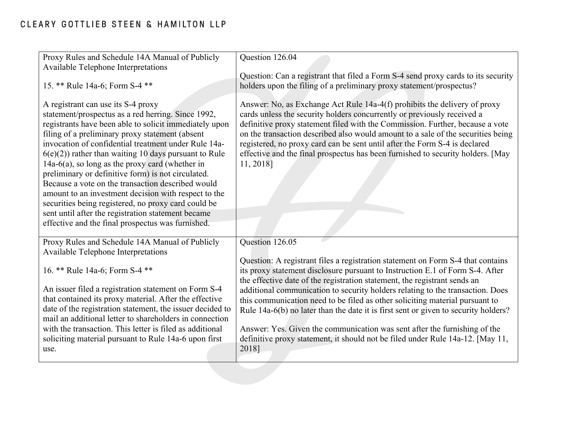| Proxy Rules and Schedule 14A Manual of Publicly<br>Available Telephone Interpretations                                                                                                                                                                                                                                                                                                                                                                                                                                                                                                                                                                                                                               | Question 126.04                                                                                                                                                                                                                                                                                                                                                                                                                                                                                         |
|----------------------------------------------------------------------------------------------------------------------------------------------------------------------------------------------------------------------------------------------------------------------------------------------------------------------------------------------------------------------------------------------------------------------------------------------------------------------------------------------------------------------------------------------------------------------------------------------------------------------------------------------------------------------------------------------------------------------|---------------------------------------------------------------------------------------------------------------------------------------------------------------------------------------------------------------------------------------------------------------------------------------------------------------------------------------------------------------------------------------------------------------------------------------------------------------------------------------------------------|
| 15. ** Rule 14a-6; Form S-4 **                                                                                                                                                                                                                                                                                                                                                                                                                                                                                                                                                                                                                                                                                       | Question: Can a registrant that filed a Form S-4 send proxy cards to its security<br>holders upon the filing of a preliminary proxy statement/prospectus?                                                                                                                                                                                                                                                                                                                                               |
| A registrant can use its S-4 proxy<br>statement/prospectus as a red herring. Since 1992,<br>registrants have been able to solicit immediately upon<br>filing of a preliminary proxy statement (absent<br>invocation of confidential treatment under Rule 14a-<br>$6(e)(2)$ ) rather than waiting 10 days pursuant to Rule<br>$14a-6(a)$ , so long as the proxy card (whether in<br>preliminary or definitive form) is not circulated.<br>Because a vote on the transaction described would<br>amount to an investment decision with respect to the<br>securities being registered, no proxy card could be<br>sent until after the registration statement became<br>effective and the final prospectus was furnished. | Answer: No, as Exchange Act Rule 14a-4(f) prohibits the delivery of proxy<br>cards unless the security holders concurrently or previously received a<br>definitive proxy statement filed with the Commission. Further, because a vote<br>on the transaction described also would amount to a sale of the securities being<br>registered, no proxy card can be sent until after the Form S-4 is declared<br>effective and the final prospectus has been furnished to security holders. [May<br>11, 2018] |
| Proxy Rules and Schedule 14A Manual of Publicly<br>Available Telephone Interpretations                                                                                                                                                                                                                                                                                                                                                                                                                                                                                                                                                                                                                               | Question 126.05                                                                                                                                                                                                                                                                                                                                                                                                                                                                                         |
| 16. ** Rule 14a-6; Form S-4 **<br>An issuer filed a registration statement on Form S-4<br>that contained its proxy material. After the effective<br>date of the registration statement, the issuer decided to<br>mail an additional letter to shareholders in connection                                                                                                                                                                                                                                                                                                                                                                                                                                             | Question: A registrant files a registration statement on Form S-4 that contains<br>its proxy statement disclosure pursuant to Instruction E.1 of Form S-4. After<br>the effective date of the registration statement, the registrant sends an<br>additional communication to security holders relating to the transaction. Does<br>this communication need to be filed as other soliciting material pursuant to<br>Rule 14a-6(b) no later than the date it is first sent or given to security holders?  |
| with the transaction. This letter is filed as additional<br>soliciting material pursuant to Rule 14a-6 upon first<br>use.                                                                                                                                                                                                                                                                                                                                                                                                                                                                                                                                                                                            | Answer: Yes. Given the communication was sent after the furnishing of the<br>definitive proxy statement, it should not be filed under Rule 14a-12. [May 11,<br>2018]                                                                                                                                                                                                                                                                                                                                    |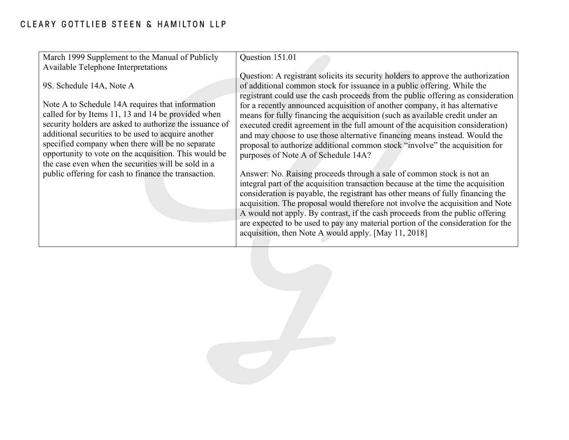| March 1999 Supplement to the Manual of Publicly                                                                                                                                                                                                                                                                                                                                                                          | Question 151.01                                                                                                                                                                                                                                                                                                                                                                                                                                                                                                                                                                                                                                                                                       |
|--------------------------------------------------------------------------------------------------------------------------------------------------------------------------------------------------------------------------------------------------------------------------------------------------------------------------------------------------------------------------------------------------------------------------|-------------------------------------------------------------------------------------------------------------------------------------------------------------------------------------------------------------------------------------------------------------------------------------------------------------------------------------------------------------------------------------------------------------------------------------------------------------------------------------------------------------------------------------------------------------------------------------------------------------------------------------------------------------------------------------------------------|
| Available Telephone Interpretations                                                                                                                                                                                                                                                                                                                                                                                      |                                                                                                                                                                                                                                                                                                                                                                                                                                                                                                                                                                                                                                                                                                       |
| 9S. Schedule 14A, Note A<br>Note A to Schedule 14A requires that information<br>called for by Items 11, 13 and 14 be provided when<br>security holders are asked to authorize the issuance of<br>additional securities to be used to acquire another<br>specified company when there will be no separate<br>opportunity to vote on the acquisition. This would be<br>the case even when the securities will be sold in a | Question: A registrant solicits its security holders to approve the authorization<br>of additional common stock for issuance in a public offering. While the<br>registrant could use the cash proceeds from the public offering as consideration<br>for a recently announced acquisition of another company, it has alternative<br>means for fully financing the acquisition (such as available credit under an<br>executed credit agreement in the full amount of the acquisition consideration)<br>and may choose to use those alternative financing means instead. Would the<br>proposal to authorize additional common stock "involve" the acquisition for<br>purposes of Note A of Schedule 14A? |
| public offering for cash to finance the transaction.                                                                                                                                                                                                                                                                                                                                                                     | Answer: No. Raising proceeds through a sale of common stock is not an<br>integral part of the acquisition transaction because at the time the acquisition<br>consideration is payable, the registrant has other means of fully financing the<br>acquisition. The proposal would therefore not involve the acquisition and Note<br>A would not apply. By contrast, if the cash proceeds from the public offering<br>are expected to be used to pay any material portion of the consideration for the<br>acquisition, then Note A would apply. [May 11, 2018]                                                                                                                                           |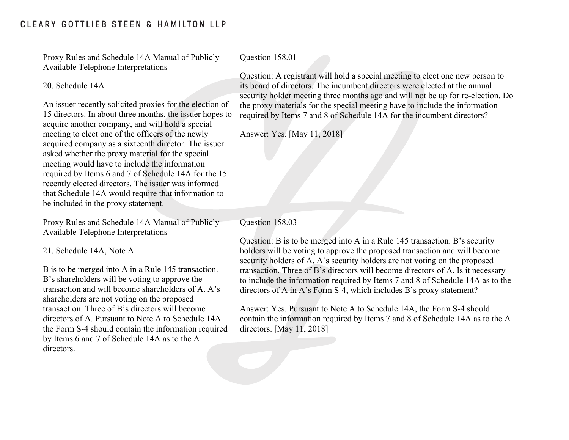| Proxy Rules and Schedule 14A Manual of Publicly                                                                                                                                                                                                                                                                                                                                                                                                                                                                                                                                                                             | Question 158.01                                                                                                                                                                                                                                                                                                                                                                                                                        |
|-----------------------------------------------------------------------------------------------------------------------------------------------------------------------------------------------------------------------------------------------------------------------------------------------------------------------------------------------------------------------------------------------------------------------------------------------------------------------------------------------------------------------------------------------------------------------------------------------------------------------------|----------------------------------------------------------------------------------------------------------------------------------------------------------------------------------------------------------------------------------------------------------------------------------------------------------------------------------------------------------------------------------------------------------------------------------------|
| Available Telephone Interpretations                                                                                                                                                                                                                                                                                                                                                                                                                                                                                                                                                                                         |                                                                                                                                                                                                                                                                                                                                                                                                                                        |
| 20. Schedule 14A<br>An issuer recently solicited proxies for the election of<br>15 directors. In about three months, the issuer hopes to<br>acquire another company, and will hold a special<br>meeting to elect one of the officers of the newly<br>acquired company as a sixteenth director. The issuer<br>asked whether the proxy material for the special<br>meeting would have to include the information<br>required by Items 6 and 7 of Schedule 14A for the 15<br>recently elected directors. The issuer was informed<br>that Schedule 14A would require that information to<br>be included in the proxy statement. | Question: A registrant will hold a special meeting to elect one new person to<br>its board of directors. The incumbent directors were elected at the annual<br>security holder meeting three months ago and will not be up for re-election. Do<br>the proxy materials for the special meeting have to include the information<br>required by Items 7 and 8 of Schedule 14A for the incumbent directors?<br>Answer: Yes. [May 11, 2018] |
| Proxy Rules and Schedule 14A Manual of Publicly                                                                                                                                                                                                                                                                                                                                                                                                                                                                                                                                                                             | Question 158.03                                                                                                                                                                                                                                                                                                                                                                                                                        |
| Available Telephone Interpretations                                                                                                                                                                                                                                                                                                                                                                                                                                                                                                                                                                                         |                                                                                                                                                                                                                                                                                                                                                                                                                                        |
|                                                                                                                                                                                                                                                                                                                                                                                                                                                                                                                                                                                                                             | Question: B is to be merged into A in a Rule 145 transaction. B's security                                                                                                                                                                                                                                                                                                                                                             |
| 21. Schedule 14A, Note A                                                                                                                                                                                                                                                                                                                                                                                                                                                                                                                                                                                                    | holders will be voting to approve the proposed transaction and will become                                                                                                                                                                                                                                                                                                                                                             |
| B is to be merged into A in a Rule 145 transaction.                                                                                                                                                                                                                                                                                                                                                                                                                                                                                                                                                                         | security holders of A. A's security holders are not voting on the proposed<br>transaction. Three of B's directors will become directors of A. Is it necessary                                                                                                                                                                                                                                                                          |
| B's shareholders will be voting to approve the                                                                                                                                                                                                                                                                                                                                                                                                                                                                                                                                                                              | to include the information required by Items 7 and 8 of Schedule 14A as to the                                                                                                                                                                                                                                                                                                                                                         |
| transaction and will become shareholders of A. A's                                                                                                                                                                                                                                                                                                                                                                                                                                                                                                                                                                          | directors of A in A's Form S-4, which includes B's proxy statement?                                                                                                                                                                                                                                                                                                                                                                    |
| shareholders are not voting on the proposed<br>transaction. Three of B's directors will become                                                                                                                                                                                                                                                                                                                                                                                                                                                                                                                              | Answer: Yes. Pursuant to Note A to Schedule 14A, the Form S-4 should                                                                                                                                                                                                                                                                                                                                                                   |
| directors of A. Pursuant to Note A to Schedule 14A                                                                                                                                                                                                                                                                                                                                                                                                                                                                                                                                                                          | contain the information required by Items 7 and 8 of Schedule 14A as to the A                                                                                                                                                                                                                                                                                                                                                          |
| the Form S-4 should contain the information required                                                                                                                                                                                                                                                                                                                                                                                                                                                                                                                                                                        | directors. [May 11, 2018]                                                                                                                                                                                                                                                                                                                                                                                                              |
| by Items 6 and 7 of Schedule 14A as to the A<br>directors.                                                                                                                                                                                                                                                                                                                                                                                                                                                                                                                                                                  |                                                                                                                                                                                                                                                                                                                                                                                                                                        |